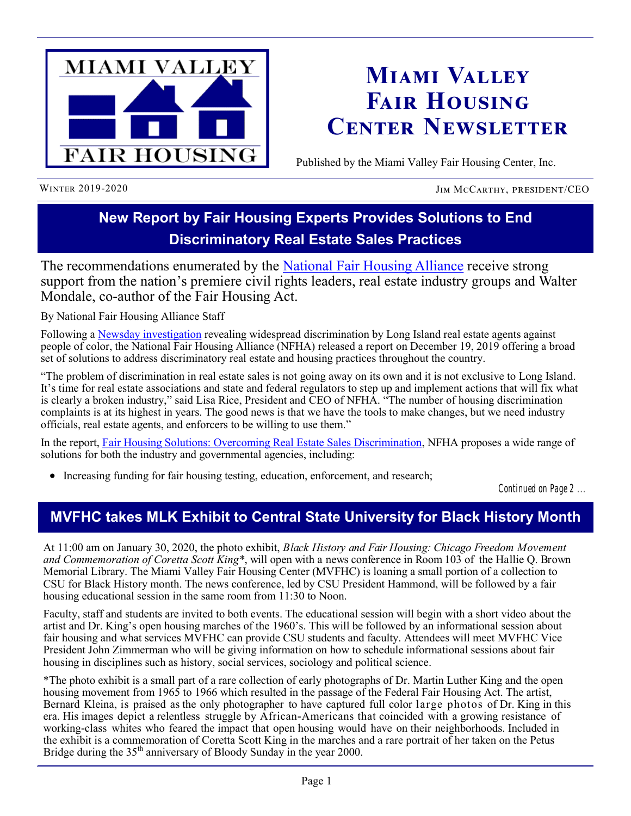

# **Miami Valley Fair Housing Center Newsletter**

Published by the Miami Valley Fair Housing Center, Inc.

WINTER 2019-2020 JIM MCCARTHY, PRESIDENT/CEO

## **New Report by Fair Housing Experts Provides Solutions to End Discriminatory Real Estate Sales Practices**

The recommendations enumerated by the [National Fair Housing Alliance](https://nationalfairhousing.org/) receive strong support from the nation's premiere civil rights leaders, real estate industry groups and Walter Mondale, co-author of the Fair Housing Act.

By National Fair Housing Alliance Staff

Following a Newsday [investigation](https://projects.newsday.com/long-island/real-estate-agents-investigation/) revealing widespread discrimination by Long Island real estate agents against people of color, the National Fair Housing Alliance (NFHA) released a report on December 19, 2019 offering a broad set of solutions to address discriminatory real estate and housing practices throughout the country.

"The problem of discrimination in real estate sales is not going away on its own and it is not exclusive to Long Island. It's time for real estate associations and state and federal regulators to step up and implement actions that will fix what is clearly a broken industry," said Lisa Rice, President and CEO of NFHA. "The number of housing discrimination complaints is at its highest in years. The good news is that we have the tools to make changes, but we need industry officials, real estate agents, and enforcers to be willing to use them."

In the report, [Fair Housing Solutions: Overcoming Real Estate Sales Discrimination,](https://nationalfairhousing.org/wp-content/uploads/2019/12/Fair-Housing-Solutions-Overcoming-Real-Estate-Sales-Discrimination-2.pdf) NFHA proposes a wide range of solutions for both the industry and governmental agencies, including:

Increasing funding for fair housing testing, education, enforcement, and research;

*Continued on Page 2 ...*

### **MVFHC takes MLK Exhibit to Central State University for Black History Month**

At 11:00 am on January 30, 2020, the photo exhibit, *Black History and Fair Housing: Chicago Freedom Movement and Commemoration of Coretta Scott King\**, will open with a news conference in Room 103 of the Hallie Q. Brown Memorial Library. The Miami Valley Fair Housing Center (MVFHC) is loaning a small portion of a collection to CSU for Black History month. The news conference, led by CSU President Hammond, will be followed by a fair housing educational session in the same room from 11:30 to Noon.

Faculty, staff and students are invited to both events. The educational session will begin with a short video about the artist and Dr. King's open housing marches of the 1960's. This will be followed by an informational session about fair housing and what services MVFHC can provide CSU students and faculty. Attendees will meet MVFHC Vice President John Zimmerman who will be giving information on how to schedule informational sessions about fair housing in disciplines such as history, social services, sociology and political science.

\*The photo exhibit is a small part of a rare collection of early photographs of Dr. Martin Luther King and the open housing movement from 1965 to 1966 which resulted in the passage of the Federal Fair Housing Act. The artist, Bernard Kleina, is praised as the only photographer to have captured full color large photos of Dr. King in this era. His images depict a relentless struggle by African-Americans that coincided with a growing resistance of working-class whites who feared the impact that open housing would have on their neighborhoods. Included in the exhibit is a commemoration of Coretta Scott King in the marches and a rare portrait of her taken on the Petus Bridge during the  $35<sup>th</sup>$  anniversary of Bloody Sunday in the year 2000.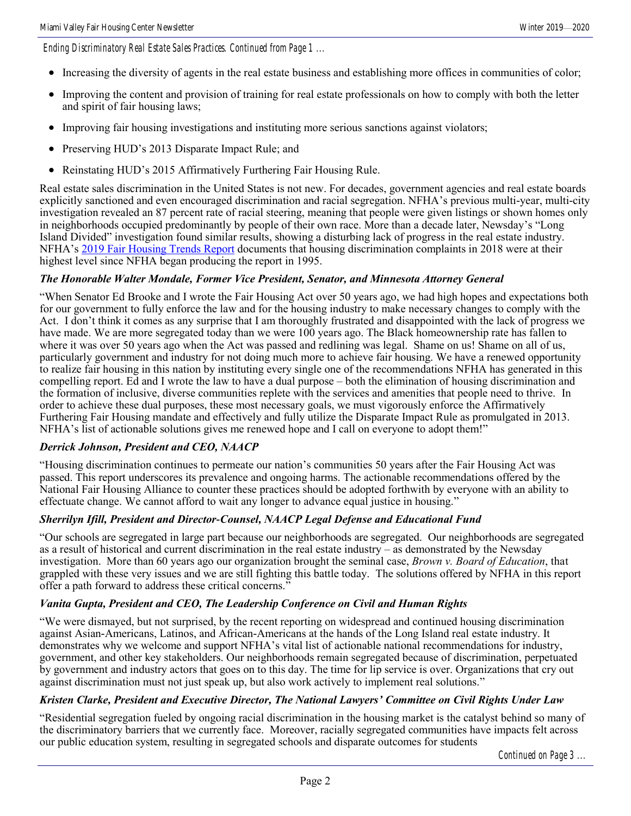*Ending Discriminatory Real Estate Sales Practices. Continued from Page 1 ...*

- Increasing the diversity of agents in the real estate business and establishing more offices in communities of color;
- Improving the content and provision of training for real estate professionals on how to comply with both the letter and spirit of fair housing laws;
- Improving fair housing investigations and instituting more serious sanctions against violators;
- Preserving HUD's 2013 Disparate Impact Rule; and
- Reinstating HUD's 2015 Affirmatively Furthering Fair Housing Rule.

Real estate sales discrimination in the United States is not new. For decades, government agencies and real estate boards explicitly sanctioned and even encouraged discrimination and racial segregation. NFHA's previous multi-year, multi-city investigation revealed an 87 percent rate of racial steering, meaning that people were given listings or shown homes only in neighborhoods occupied predominantly by people of their own race. More than a decade later, Newsday's "Long Island Divided" investigation found similar results, showing a disturbing lack of progress in the real estate industry. NFHA's [2019 Fair Housing Trends Report](https://nationalfairhousing.org/2019-fair-housing-trends-report/) documents that housing discrimination complaints in 2018 were at their highest level since NFHA began producing the report in 1995.

#### *The Honorable Walter Mondale, Former Vice President, Senator, and Minnesota Attorney General*

"When Senator Ed Brooke and I wrote the Fair Housing Act over 50 years ago, we had high hopes and expectations both for our government to fully enforce the law and for the housing industry to make necessary changes to comply with the Act. I don't think it comes as any surprise that I am thoroughly frustrated and disappointed with the lack of progress we have made. We are more segregated today than we were 100 years ago. The Black homeownership rate has fallen to where it was over 50 years ago when the Act was passed and redlining was legal. Shame on us! Shame on all of us, particularly government and industry for not doing much more to achieve fair housing. We have a renewed opportunity to realize fair housing in this nation by instituting every single one of the recommendations NFHA has generated in this compelling report. Ed and I wrote the law to have a dual purpose – both the elimination of housing discrimination and the formation of inclusive, diverse communities replete with the services and amenities that people need to thrive. In order to achieve these dual purposes, these most necessary goals, we must vigorously enforce the Affirmatively Furthering Fair Housing mandate and effectively and fully utilize the Disparate Impact Rule as promulgated in 2013. NFHA's list of actionable solutions gives me renewed hope and I call on everyone to adopt them!"

#### *Derrick Johnson, President and CEO, NAACP*

"Housing discrimination continues to permeate our nation's communities 50 years after the Fair Housing Act was passed. This report underscores its prevalence and ongoing harms. The actionable recommendations offered by the National Fair Housing Alliance to counter these practices should be adopted forthwith by everyone with an ability to effectuate change. We cannot afford to wait any longer to advance equal justice in housing."

#### *Sherrilyn Ifill, President and Director-Counsel, NAACP Legal Defense and Educational Fund*

"Our schools are segregated in large part because our neighborhoods are segregated. Our neighborhoods are segregated as a result of historical and current discrimination in the real estate industry – as demonstrated by the Newsday investigation. More than 60 years ago our organization brought the seminal case, *Brown v. Board of Education*, that grappled with these very issues and we are still fighting this battle today. The solutions offered by NFHA in this report offer a path forward to address these critical concerns."

#### *Vanita Gupta, President and CEO, The Leadership Conference on Civil and Human Rights*

"We were dismayed, but not surprised, by the recent reporting on widespread and continued housing discrimination against Asian-Americans, Latinos, and African-Americans at the hands of the Long Island real estate industry. It demonstrates why we welcome and support NFHA's vital list of actionable national recommendations for industry, government, and other key stakeholders. Our neighborhoods remain segregated because of discrimination, perpetuated by government and industry actors that goes on to this day. The time for lip service is over. Organizations that cry out against discrimination must not just speak up, but also work actively to implement real solutions."

#### *Kristen Clarke, President and Executive Director, The National Lawyers' Committee on Civil Rights Under Law*

"Residential segregation fueled by ongoing racial discrimination in the housing market is the catalyst behind so many of the discriminatory barriers that we currently face. Moreover, racially segregated communities have impacts felt across our public education system, resulting in segregated schools and disparate outcomes for students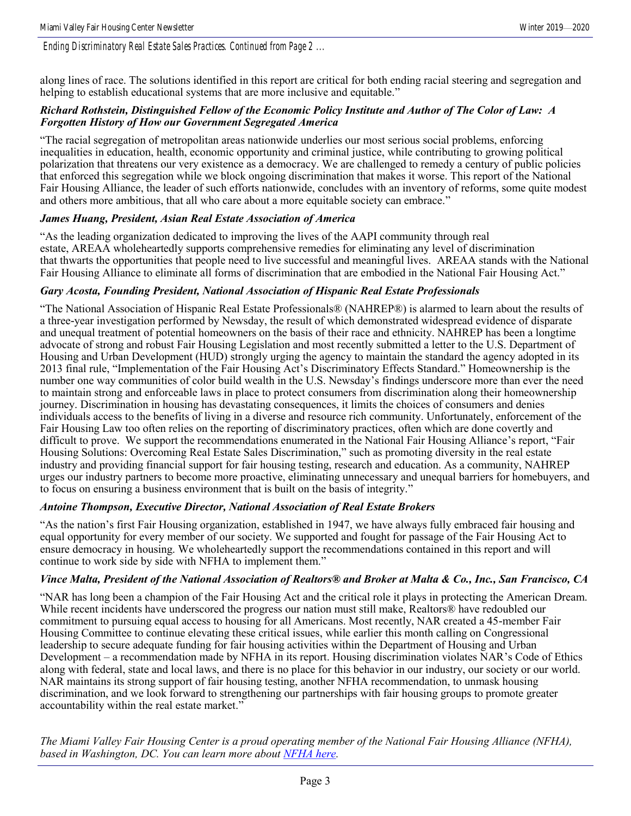*Ending Discriminatory Real Estate Sales Practices. Continued from Page 2 ...*

along lines of race. The solutions identified in this report are critical for both ending racial steering and segregation and helping to establish educational systems that are more inclusive and equitable."

#### *Richard Rothstein, Distinguished Fellow of the Economic Policy Institute and Author of The Color of Law: A Forgotten History of How our Government Segregated America*

"The racial segregation of metropolitan areas nationwide underlies our most serious social problems, enforcing inequalities in education, health, economic opportunity and criminal justice, while contributing to growing political polarization that threatens our very existence as a democracy. We are challenged to remedy a century of public policies that enforced this segregation while we block ongoing discrimination that makes it worse. This report of the National Fair Housing Alliance, the leader of such efforts nationwide, concludes with an inventory of reforms, some quite modest and others more ambitious, that all who care about a more equitable society can embrace."

#### *James Huang, President, Asian Real Estate Association of America*

"As the leading organization dedicated to improving the lives of the AAPI community through real estate, AREAA wholeheartedly supports comprehensive remedies for eliminating any level of discrimination that thwarts the opportunities that people need to live successful and meaningful lives. AREAA stands with the National Fair Housing Alliance to eliminate all forms of discrimination that are embodied in the National Fair Housing Act."

#### *Gary Acosta, Founding President, National Association of Hispanic Real Estate Professionals*

"The National Association of Hispanic Real Estate Professionals® (NAHREP®) is alarmed to learn about the results of a three-year investigation performed by Newsday, the result of which demonstrated widespread evidence of disparate and unequal treatment of potential homeowners on the basis of their race and ethnicity. NAHREP has been a longtime advocate of strong and robust Fair Housing Legislation and most recently submitted a letter to the U.S. Department of Housing and Urban Development (HUD) strongly urging the agency to maintain the standard the agency adopted in its 2013 final rule, "Implementation of the Fair Housing Act's Discriminatory Effects Standard." Homeownership is the number one way communities of color build wealth in the U.S. Newsday's findings underscore more than ever the need to maintain strong and enforceable laws in place to protect consumers from discrimination along their homeownership journey. Discrimination in housing has devastating consequences, it limits the choices of consumers and denies individuals access to the benefits of living in a diverse and resource rich community. Unfortunately, enforcement of the Fair Housing Law too often relies on the reporting of discriminatory practices, often which are done covertly and difficult to prove. We support the recommendations enumerated in the National Fair Housing Alliance's report, "Fair Housing Solutions: Overcoming Real Estate Sales Discrimination," such as promoting diversity in the real estate industry and providing financial support for fair housing testing, research and education. As a community, NAHREP urges our industry partners to become more proactive, eliminating unnecessary and unequal barriers for homebuyers, and to focus on ensuring a business environment that is built on the basis of integrity."

#### *Antoine Thompson, Executive Director, National Association of Real Estate Brokers*

"As the nation's first Fair Housing organization, established in 1947, we have always fully embraced fair housing and equal opportunity for every member of our society. We supported and fought for passage of the Fair Housing Act to ensure democracy in housing. We wholeheartedly support the recommendations contained in this report and will continue to work side by side with NFHA to implement them."

#### *Vince Malta, President of the National Association of Realtors® and Broker at Malta & Co., Inc., San Francisco, CA*

"NAR has long been a champion of the Fair Housing Act and the critical role it plays in protecting the American Dream. While recent incidents have underscored the progress our nation must still make, Realtors® have redoubled our commitment to pursuing equal access to housing for all Americans. Most recently, NAR created a 45-member Fair Housing Committee to continue elevating these critical issues, while earlier this month calling on Congressional leadership to secure adequate funding for fair housing activities within the Department of Housing and Urban Development – a recommendation made by NFHA in its report. Housing discrimination violates NAR's Code of Ethics along with federal, state and local laws, and there is no place for this behavior in our industry, our society or our world. NAR maintains its strong support of fair housing testing, another NFHA recommendation, to unmask housing discrimination, and we look forward to strengthening our partnerships with fair housing groups to promote greater accountability within the real estate market."

*The Miami Valley Fair Housing Center is a proud operating member of the National Fair Housing Alliance (NFHA), based in Washington, DC. You can learn more about [NFHA here.](https://nationalfairhousing.org/)*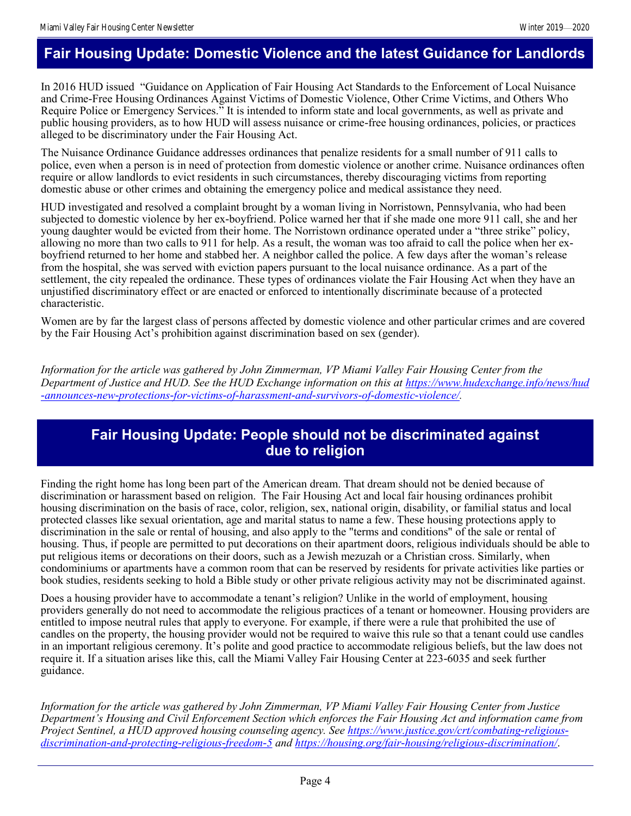### **Fair Housing Update: Domestic Violence and the latest Guidance for Landlords**

In 2016 HUD issued "Guidance on Application of Fair Housing Act Standards to the Enforcement of Local Nuisance and Crime-Free Housing Ordinances Against Victims of Domestic Violence, Other Crime Victims, and Others Who Require Police or Emergency Services." It is intended to inform state and local governments, as well as private and public housing providers, as to how HUD will assess nuisance or crime-free housing ordinances, policies, or practices alleged to be discriminatory under the Fair Housing Act.

The Nuisance Ordinance Guidance addresses ordinances that penalize residents for a small number of 911 calls to police, even when a person is in need of protection from domestic violence or another crime. Nuisance ordinances often require or allow landlords to evict residents in such circumstances, thereby discouraging victims from reporting domestic abuse or other crimes and obtaining the emergency police and medical assistance they need.

HUD investigated and resolved a complaint brought by a woman living in Norristown, Pennsylvania, who had been subjected to domestic violence by her ex-boyfriend. Police warned her that if she made one more 911 call, she and her young daughter would be evicted from their home. The Norristown ordinance operated under a "three strike" policy, allowing no more than two calls to 911 for help. As a result, the woman was too afraid to call the police when her exboyfriend returned to her home and stabbed her. A neighbor called the police. A few days after the woman's release from the hospital, she was served with eviction papers pursuant to the local nuisance ordinance. As a part of the settlement, the city repealed the ordinance. These types of ordinances violate the Fair Housing Act when they have an unjustified discriminatory effect or are enacted or enforced to intentionally discriminate because of a protected characteristic.

Women are by far the largest class of persons affected by domestic violence and other particular crimes and are covered by the Fair Housing Act's prohibition against discrimination based on sex (gender).

*Information for the article was gathered by John Zimmerman, VP Miami Valley Fair Housing Center from the Department of Justice and HUD. See the HUD Exchange information on this at [https://www.hudexchange.info/news/hud](https://www.hudexchange.info/news/hud-announces-new-protections-for-victims-of-harassment-and-survivors-of-domestic-violence/) [-announces-new-protections-for-victims-of-harassment-and-survivors-of-domestic-violence/.](https://www.hudexchange.info/news/hud-announces-new-protections-for-victims-of-harassment-and-survivors-of-domestic-violence/)* 

### **Fair Housing Update: People should not be discriminated against due to religion**

Finding the right home has long been part of the American dream. That dream should not be denied because of discrimination or harassment based on religion. The Fair Housing Act and local fair housing ordinances prohibit housing discrimination on the basis of race, color, religion, sex, national origin, disability, or familial status and local protected classes like sexual orientation, age and marital status to name a few. These housing protections apply to discrimination in the sale or rental of housing, and also apply to the "terms and conditions" of the sale or rental of housing. Thus, if people are permitted to put decorations on their apartment doors, religious individuals should be able to put religious items or decorations on their doors, such as a Jewish mezuzah or a Christian cross. Similarly, when condominiums or apartments have a common room that can be reserved by residents for private activities like parties or book studies, residents seeking to hold a Bible study or other private religious activity may not be discriminated against.

Does a housing provider have to accommodate a tenant's religion? Unlike in the world of employment, housing providers generally do not need to accommodate the religious practices of a tenant or homeowner. Housing providers are entitled to impose neutral rules that apply to everyone. For example, if there were a rule that prohibited the use of candles on the property, the housing provider would not be required to waive this rule so that a tenant could use candles in an important religious ceremony. It's polite and good practice to accommodate religious beliefs, but the law does not require it. If a situation arises like this, call the Miami Valley Fair Housing Center at 223-6035 and seek further guidance.

*Information for the article was gathered by John Zimmerman, VP Miami Valley Fair Housing Center from Justice Department's Housing and Civil Enforcement Section which enforces the Fair Housing Act and information came from Project Sentinel, a HUD approved housing counseling agency. See [https://www.justice.gov/crt/combating-religious](https://www.justice.gov/crt/combating-religious-discrimination-and-protecting-religious-freedom-5)[discrimination-and-protecting-religious-freedom-5](https://www.justice.gov/crt/combating-religious-discrimination-and-protecting-religious-freedom-5) and<https://housing.org/fair-housing/religious-discrimination/>*.